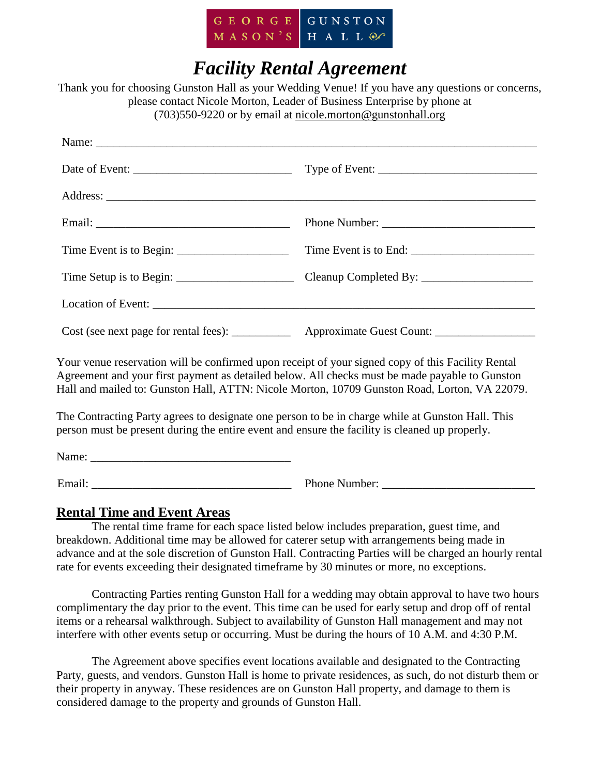

# *Facility Rental Agreement*

Thank you for choosing Gunston Hall as your Wedding Venue! If you have any questions or concerns, please contact Nicole Morton, Leader of Business Enterprise by phone at (703)550-9220 or by email at nicole.morton@gunstonhall.org

|                                                                                                                                                                                                                                                                                                     | Cost (see next page for rental fees): ______________ Approximate Guest Count: _____________________ |
|-----------------------------------------------------------------------------------------------------------------------------------------------------------------------------------------------------------------------------------------------------------------------------------------------------|-----------------------------------------------------------------------------------------------------|
| Your venue reservation will be confirmed upon receipt of your signed copy of this Facility Rental<br>Agreement and your first payment as detailed below. All checks must be made payable to Gunston<br>Hall and mailed to: Gunston Hall, ATTN: Nicole Morton, 10709 Gunston Road, Lorton, VA 22079. |                                                                                                     |
| The Contracting Party agrees to designate one person to be in charge while at Gunston Hall. This<br>person must be present during the entire event and ensure the facility is cleaned up properly.                                                                                                  |                                                                                                     |
|                                                                                                                                                                                                                                                                                                     |                                                                                                     |

Email: Those Number: **Email:** Phone Number:

## **Rental Time and Event Areas**

The rental time frame for each space listed below includes preparation, guest time, and breakdown. Additional time may be allowed for caterer setup with arrangements being made in advance and at the sole discretion of Gunston Hall. Contracting Parties will be charged an hourly rental rate for events exceeding their designated timeframe by 30 minutes or more, no exceptions.

Contracting Parties renting Gunston Hall for a wedding may obtain approval to have two hours complimentary the day prior to the event. This time can be used for early setup and drop off of rental items or a rehearsal walkthrough. Subject to availability of Gunston Hall management and may not interfere with other events setup or occurring. Must be during the hours of 10 A.M. and 4:30 P.M.

The Agreement above specifies event locations available and designated to the Contracting Party, guests, and vendors. Gunston Hall is home to private residences, as such, do not disturb them or their property in anyway. These residences are on Gunston Hall property, and damage to them is considered damage to the property and grounds of Gunston Hall.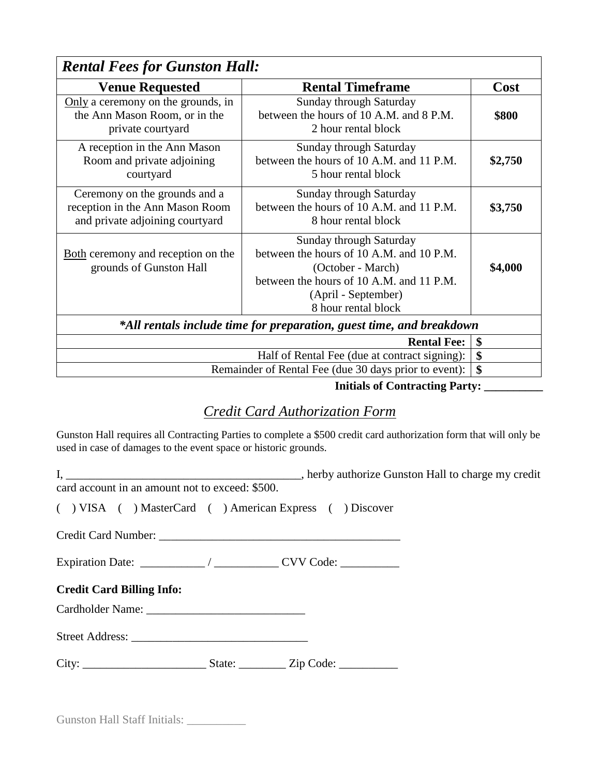| <b>Rental Fees for Gunston Hall:</b>                                                                |                                                                                                                                                                                    |         |  |  |
|-----------------------------------------------------------------------------------------------------|------------------------------------------------------------------------------------------------------------------------------------------------------------------------------------|---------|--|--|
| <b>Venue Requested</b>                                                                              | <b>Rental Timeframe</b>                                                                                                                                                            | Cost    |  |  |
| Only a ceremony on the grounds, in<br>the Ann Mason Room, or in the<br>private courtyard            | <b>Sunday through Saturday</b><br>between the hours of 10 A.M. and 8 P.M.<br>2 hour rental block                                                                                   | \$800   |  |  |
| A reception in the Ann Mason<br>Room and private adjoining<br>courtyard                             | Sunday through Saturday<br>between the hours of 10 A.M. and 11 P.M.<br>5 hour rental block                                                                                         | \$2,750 |  |  |
| Ceremony on the grounds and a<br>reception in the Ann Mason Room<br>and private adjoining courtyard | Sunday through Saturday<br>between the hours of 10 A.M. and 11 P.M.<br>\$3,750<br>8 hour rental block                                                                              |         |  |  |
| Both ceremony and reception on the<br>grounds of Gunston Hall                                       | Sunday through Saturday<br>between the hours of 10 A.M. and 10 P.M.<br>(October - March)<br>between the hours of 10 A.M. and 11 P.M.<br>(April - September)<br>8 hour rental block | \$4,000 |  |  |
| *All rentals include time for preparation, guest time, and breakdown                                |                                                                                                                                                                                    |         |  |  |
| <b>Rental Fee:</b>                                                                                  |                                                                                                                                                                                    | \$      |  |  |
| Half of Rental Fee (due at contract signing):                                                       |                                                                                                                                                                                    | \$      |  |  |
| \$<br>Remainder of Rental Fee (due 30 days prior to event):                                         |                                                                                                                                                                                    |         |  |  |

 **Initials of Contracting Party: \_\_\_\_\_\_\_\_\_\_**

# *Credit Card Authorization Form*

Gunston Hall requires all Contracting Parties to complete a \$500 credit card authorization form that will only be used in case of damages to the event space or historic grounds.

| card account in an amount not to exceed: \$500.       |  |  |  |
|-------------------------------------------------------|--|--|--|
| () VISA () MasterCard () American Express () Discover |  |  |  |
|                                                       |  |  |  |
|                                                       |  |  |  |
| <b>Credit Card Billing Info:</b>                      |  |  |  |
|                                                       |  |  |  |
|                                                       |  |  |  |
|                                                       |  |  |  |
|                                                       |  |  |  |

Gunston Hall Staff Initials: \_\_\_\_\_\_\_\_\_\_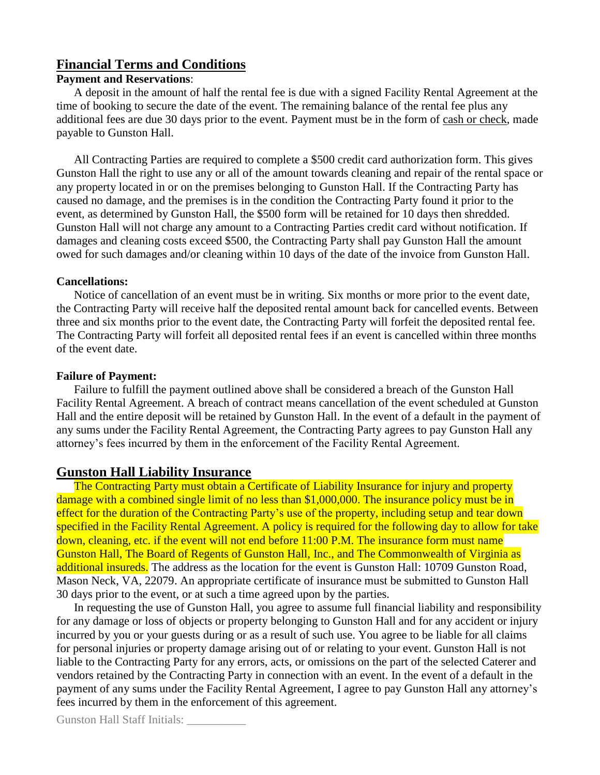#### **Financial Terms and Conditions**

#### **Payment and Reservations**:

A deposit in the amount of half the rental fee is due with a signed Facility Rental Agreement at the time of booking to secure the date of the event. The remaining balance of the rental fee plus any additional fees are due 30 days prior to the event. Payment must be in the form of cash or check, made payable to Gunston Hall.

All Contracting Parties are required to complete a \$500 credit card authorization form. This gives Gunston Hall the right to use any or all of the amount towards cleaning and repair of the rental space or any property located in or on the premises belonging to Gunston Hall. If the Contracting Party has caused no damage, and the premises is in the condition the Contracting Party found it prior to the event, as determined by Gunston Hall, the \$500 form will be retained for 10 days then shredded. Gunston Hall will not charge any amount to a Contracting Parties credit card without notification. If damages and cleaning costs exceed \$500, the Contracting Party shall pay Gunston Hall the amount owed for such damages and/or cleaning within 10 days of the date of the invoice from Gunston Hall.

#### **Cancellations:**

Notice of cancellation of an event must be in writing. Six months or more prior to the event date, the Contracting Party will receive half the deposited rental amount back for cancelled events. Between three and six months prior to the event date, the Contracting Party will forfeit the deposited rental fee. The Contracting Party will forfeit all deposited rental fees if an event is cancelled within three months of the event date.

#### **Failure of Payment:**

Failure to fulfill the payment outlined above shall be considered a breach of the Gunston Hall Facility Rental Agreement. A breach of contract means cancellation of the event scheduled at Gunston Hall and the entire deposit will be retained by Gunston Hall. In the event of a default in the payment of any sums under the Facility Rental Agreement, the Contracting Party agrees to pay Gunston Hall any attorney's fees incurred by them in the enforcement of the Facility Rental Agreement.

#### **Gunston Hall Liability Insurance**

The Contracting Party must obtain a Certificate of Liability Insurance for injury and property damage with a combined single limit of no less than \$1,000,000. The insurance policy must be in effect for the duration of the Contracting Party's use of the property, including setup and tear down specified in the Facility Rental Agreement. A policy is required for the following day to allow for take down, cleaning, etc. if the event will not end before 11:00 P.M. The insurance form must name Gunston Hall, The Board of Regents of Gunston Hall, Inc., and The Commonwealth of Virginia as additional insureds. The address as the location for the event is Gunston Hall: 10709 Gunston Road, Mason Neck, VA, 22079. An appropriate certificate of insurance must be submitted to Gunston Hall 30 days prior to the event, or at such a time agreed upon by the parties.

In requesting the use of Gunston Hall, you agree to assume full financial liability and responsibility for any damage or loss of objects or property belonging to Gunston Hall and for any accident or injury incurred by you or your guests during or as a result of such use. You agree to be liable for all claims for personal injuries or property damage arising out of or relating to your event. Gunston Hall is not liable to the Contracting Party for any errors, acts, or omissions on the part of the selected Caterer and vendors retained by the Contracting Party in connection with an event. In the event of a default in the payment of any sums under the Facility Rental Agreement, I agree to pay Gunston Hall any attorney's fees incurred by them in the enforcement of this agreement.

Gunston Hall Staff Initials: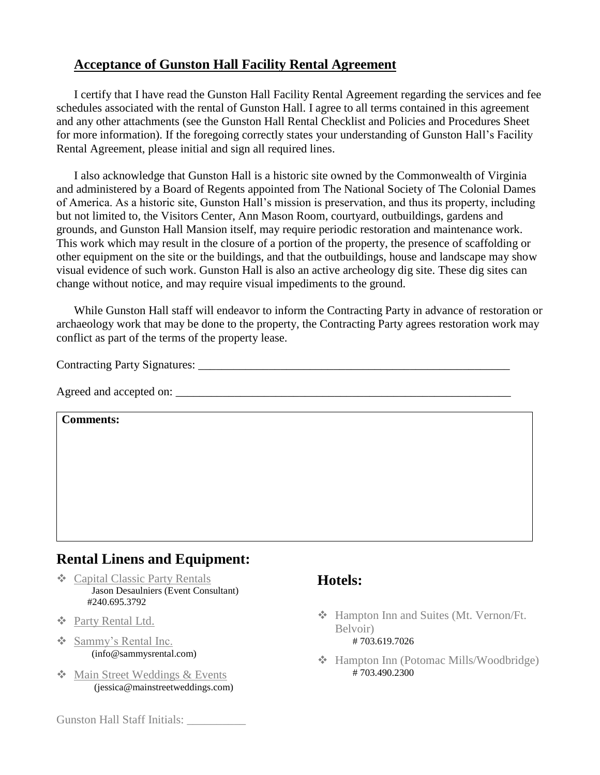### **Acceptance of Gunston Hall Facility Rental Agreement**

I certify that I have read the Gunston Hall Facility Rental Agreement regarding the services and fee schedules associated with the rental of Gunston Hall. I agree to all terms contained in this agreement and any other attachments (see the Gunston Hall Rental Checklist and Policies and Procedures Sheet for more information). If the foregoing correctly states your understanding of Gunston Hall's Facility Rental Agreement, please initial and sign all required lines.

I also acknowledge that Gunston Hall is a historic site owned by the Commonwealth of Virginia and administered by a Board of Regents appointed from The National Society of The Colonial Dames of America. As a historic site, Gunston Hall's mission is preservation, and thus its property, including but not limited to, the Visitors Center, Ann Mason Room, courtyard, outbuildings, gardens and grounds, and Gunston Hall Mansion itself, may require periodic restoration and maintenance work. This work which may result in the closure of a portion of the property, the presence of scaffolding or other equipment on the site or the buildings, and that the outbuildings, house and landscape may show visual evidence of such work. Gunston Hall is also an active archeology dig site. These dig sites can change without notice, and may require visual impediments to the ground.

While Gunston Hall staff will endeavor to inform the Contracting Party in advance of restoration or archaeology work that may be done to the property, the Contracting Party agrees restoration work may conflict as part of the terms of the property lease.

Contracting Party Signatures: \_\_\_\_\_\_\_\_\_\_\_\_\_\_\_\_\_\_\_\_\_\_\_\_\_\_\_\_\_\_\_\_\_\_\_\_\_\_\_\_\_\_\_\_\_\_\_\_\_\_\_\_\_

Agreed and accepted on:

**Comments:**

# **Rental Linens and Equipment:**

- [Capital Classic Party Rentals](https://classicpartyrentals.com/locations/dulles) Jason Desaulniers (Event Consultant) #240.695.3792
- ❖ [Party Rental Ltd.](https://www.partyrentalltd.com/)
- [Sammy's Rental Inc.](http://www.sammysrental.com/) (info@sammysrental.com)
- **❖** [Main Street Weddings & Events](https://mainstreetweddings.com/) [\(jessica@mainstreetweddings.com\)](mailto:jessica@mainstreetweddings.com)

Gunston Hall Staff Initials: \_\_\_\_\_\_\_\_\_\_

# **Hotels:**

- Hampton Inn and Suites (Mt. Vernon/Ft. Belvoir) # 703.619.7026
- Hampton Inn (Potomac Mills/Woodbridge)  $\frac{1}{4}$  703.490.2300